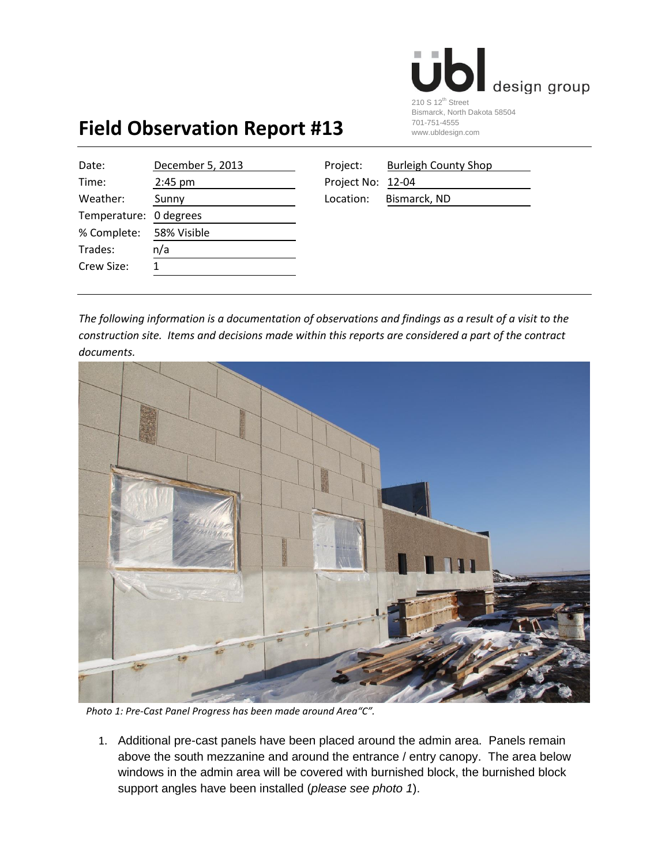

## **Field Observation Report #13**

| Date:                  | December 5, 2013 | Project:          | <b>Burleigh County Shop</b> |
|------------------------|------------------|-------------------|-----------------------------|
| Time:                  | $2:45$ pm        | Project No: 12-04 |                             |
| Weather:               | Sunny            | Location:         | Bismarck, ND                |
| Temperature: 0 degrees |                  |                   |                             |
| % Complete:            | 58% Visible      |                   |                             |
| Trades:                | n/a              |                   |                             |
| Crew Size:             | 1                |                   |                             |
|                        |                  |                   |                             |

| Project:          | <b>Burleigh County Shop</b> |
|-------------------|-----------------------------|
| Project No: 12-04 |                             |
| Location:         | Bismarck, ND                |

*The following information is a documentation of observations and findings as a result of a visit to the construction site. Items and decisions made within this reports are considered a part of the contract documents.* 



 *Photo 1: Pre-Cast Panel Progress has been made around Area"C".*

1. Additional pre-cast panels have been placed around the admin area. Panels remain above the south mezzanine and around the entrance / entry canopy. The area below windows in the admin area will be covered with burnished block, the burnished block support angles have been installed (*please see photo 1*).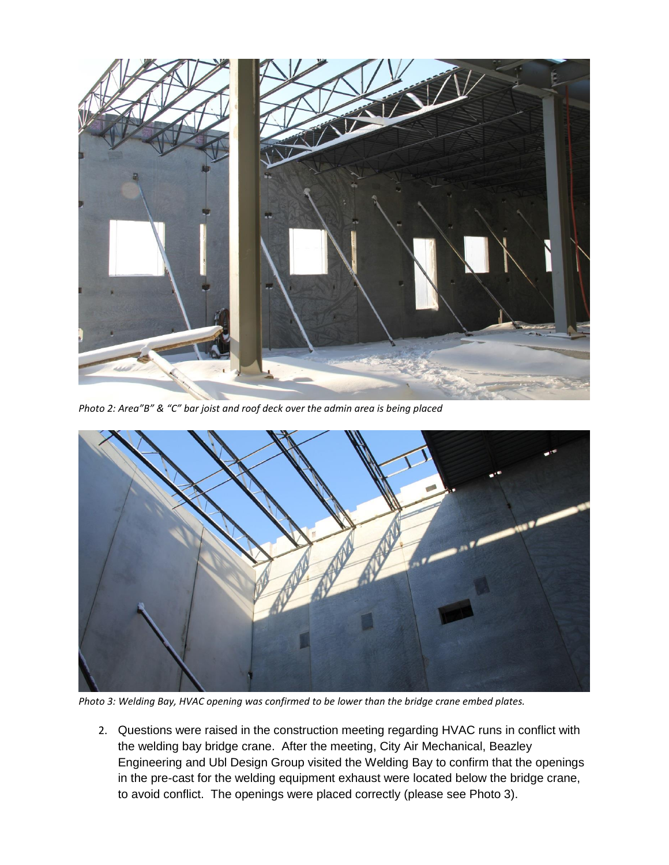

*Photo 2: Area"B" & "C" bar joist and roof deck over the admin area is being placed*



*Photo 3: Welding Bay, HVAC opening was confirmed to be lower than the bridge crane embed plates.*

2. Questions were raised in the construction meeting regarding HVAC runs in conflict with the welding bay bridge crane. After the meeting, City Air Mechanical, Beazley Engineering and Ubl Design Group visited the Welding Bay to confirm that the openings in the pre-cast for the welding equipment exhaust were located below the bridge crane, to avoid conflict. The openings were placed correctly (please see Photo 3).